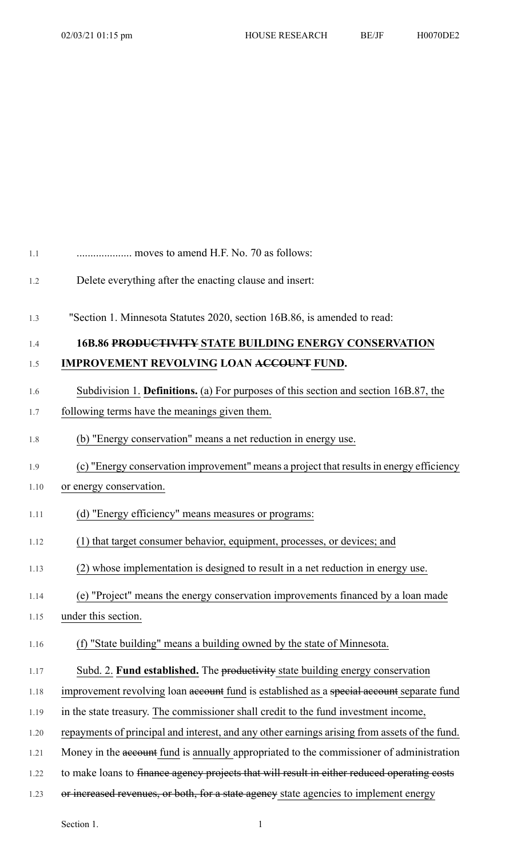## 1.1 .................... moves to amend H.F. No. 70 as follows:

- 1.2 Delete everything after the enacting clause and insert:
- 1.3 "Section 1. Minnesota Statutes 2020, section 16B.86, is amended to read:

## 1.4 **16B.86 PRODUCTIVITY STATE BUILDING ENERGY CONSERVATION**

## 1.5 **IMPROVEMENT REVOLVING LOAN ACCOUNT FUND.**

- 1.6 Subdivision 1. **Definitions.** (a) For purposes of this section and section 16B.87, the
- 1.7 following terms have the meanings given them.
- 1.8 (b) "Energy conservation" means a net reduction in energy use.
- 1.9 (c) "Energy conservation improvement" means a project that resultsin energy efficiency
- 1.10 or energy conservation.
- 1.11 (d) "Energy efficiency" means measures or programs:
- 1.12 (1) that target consumer behavior, equipment, processes, or devices; and
- 1.13 (2) whose implementation is designed to result in a net reduction in energy use.
- 1.14 (e) "Project" means the energy conservation improvements financed by a loan made
- 1.15 under this section.

## 1.16 (f) "State building" means a building owned by the state of Minnesota.

- 1.17 Subd. 2. **Fund established.** The productivity state building energy conservation
- 1.18 improvement revolving loan account fund is established as a special account separate fund
- 1.19 in the state treasury. The commissioner shall credit to the fund investment income,
- 1.20 repayments of principal and interest, and any other earnings arising from assets of the fund.
- 1.21 Money in the account fund is annually appropriated to the commissioner of administration
- 1.22 to make loans to finance agency projects that will result in either reduced operating costs
- 1.23 or increased revenues, or both, for a state agency state agencies to implement energy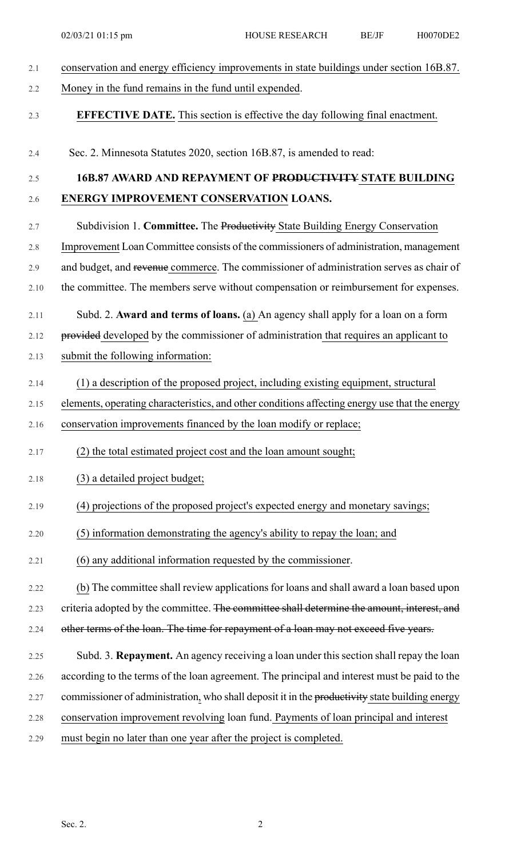| 2.1  | conservation and energy efficiency improvements in state buildings under section 16B.87.       |
|------|------------------------------------------------------------------------------------------------|
| 2.2  | Money in the fund remains in the fund until expended.                                          |
| 2.3  | <b>EFFECTIVE DATE.</b> This section is effective the day following final enactment.            |
| 2.4  | Sec. 2. Minnesota Statutes 2020, section 16B.87, is amended to read:                           |
| 2.5  | 16B.87 AWARD AND REPAYMENT OF PRODUCTIVITY STATE BUILDING                                      |
| 2.6  | ENERGY IMPROVEMENT CONSERVATION LOANS.                                                         |
| 2.7  | Subdivision 1. Committee. The Productivity State Building Energy Conservation                  |
| 2.8  | Improvement Loan Committee consists of the commissioners of administration, management         |
| 2.9  | and budget, and revenue commerce. The commissioner of administration serves as chair of        |
| 2.10 | the committee. The members serve without compensation or reimbursement for expenses.           |
| 2.11 | Subd. 2. Award and terms of loans. (a) An agency shall apply for a loan on a form              |
| 2.12 | provided developed by the commissioner of administration that requires an applicant to         |
| 2.13 | submit the following information:                                                              |
| 2.14 | (1) a description of the proposed project, including existing equipment, structural            |
| 2.15 | elements, operating characteristics, and other conditions affecting energy use that the energy |
| 2.16 | conservation improvements financed by the loan modify or replace;                              |
| 2.17 | (2) the total estimated project cost and the loan amount sought;                               |
| 2.18 | (3) a detailed project budget;                                                                 |
| 2.19 | (4) projections of the proposed project's expected energy and monetary savings;                |
| 2.20 | (5) information demonstrating the agency's ability to repay the loan; and                      |
| 2.21 | (6) any additional information requested by the commissioner.                                  |
| 2.22 | (b) The committee shall review applications for loans and shall award a loan based upon        |
| 2.23 | criteria adopted by the committee. The committee shall determine the amount, interest, and     |
| 2.24 | other terms of the loan. The time for repayment of a loan may not exceed five years.           |
| 2.25 | Subd. 3. Repayment. An agency receiving a loan under this section shall repay the loan         |
| 2.26 | according to the terms of the loan agreement. The principal and interest must be paid to the   |
| 2.27 | commissioner of administration, who shall deposit it in the productivity state building energy |
| 2.28 | conservation improvement revolving loan fund. Payments of loan principal and interest          |
| 2.29 | must begin no later than one year after the project is completed.                              |